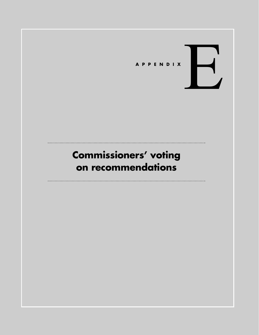

# **Commissioners' voting on recommendations**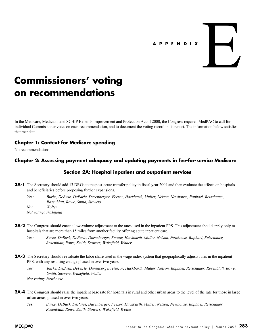# **APPENDIX** E

# **Commissioners' voting on recommendations**

In the Medicare, Medicaid, and SCHIP Benefits Improvement and Protection Act of 2000, the Congress required MedPAC to call for individual Commissioner votes on each recommendation, and to document the voting record in its report. The information below satisfies that mandate.

# **Chapter 1: Context for Medicare spending**

No recommendations

# **Chapter 2: Assessing payment adequacy and updating payments in fee-for-service Medicare**

# **Section 2A: Hospital inpatient and outpatient services**

**2A-1** The Secretary should add 13 DRGs to the post-acute transfer policy in fiscal year 2004 and then evaluate the effects on hospitals and beneficiaries before proposing further expansions.

*Yes: Burke, DeBusk, DeParle, Durenberger, Feezor, Hackbarth, Muller, Nelson, Newhouse, Raphael, Reischauer, Rosenblatt, Rowe, Smith, Stowers No: Wolter*

*Not voting: Wakefield*

**2A-2** The Congress should enact a low-volume adjustment to the rates used in the inpatient PPS. This adjustment should apply only to hospitals that are more than 15 miles from another facility offering acute inpatient care.

*Yes: Burke, DeBusk, DeParle, Durenberger, Feezor, Hackbarth, Muller, Nelson, Newhouse, Raphael, Reischauer, Rosenblatt, Rowe, Smith, Stowers, Wakefield, Wolter*

- **2A-3** The Secretary should reevaluate the labor share used in the wage index system that geographically adjusts rates in the inpatient PPS, with any resulting change phased in over two years.
	- *Yes: Burke, DeBusk, DeParle, Durenberger, Feezor, Hackbarth, Muller, Nelson, Raphael, Reischauer, Rosenblatt, Rowe, Smith, Stowers, Wakefield, Wolter Not voting: Newhouse*
- **2A-4** The Congress should raise the inpatient base rate for hospitals in rural and other urban areas to the level of the rate for those in large urban areas, phased in over two years.
	- *Yes: Burke, DeBusk, DeParle, Durenberger, Feezor, Hackbarth, Muller, Nelson, Newhouse, Raphael, Reischauer, Rosenblatt, Rowe, Smith, Stowers, Wakefield, Wolter*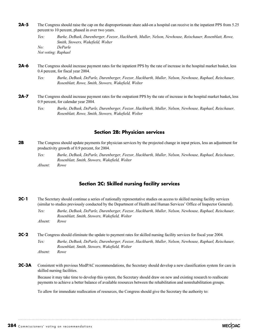**2A-5** The Congress should raise the cap on the disproportionate share add-on a hospital can receive in the inpatient PPS from 5.25 percent to 10 percent, phased in over two years.

*Yes: Burke, DeBusk, Durenberger, Feezor, Hackbarth, Muller, Nelson, Newhouse, Reischauer, Rosenblatt, Rowe, Smith, Stowers, Wakefield, Wolter No: DeParle Not voting: Raphael*

- **2A-6** The Congress should increase payment rates for the inpatient PPS by the rate of increase in the hospital market basket, less 0.4 percent, for fiscal year 2004.
	- *Yes: Burke, DeBusk, DeParle, Durenberger, Feezor, Hackbarth, Muller, Nelson, Newhouse, Raphael, Reischauer, Rosenblatt, Rowe, Smith, Stowers, Wakefield, Wolter*
- **2A-7** The Congress should increase payment rates for the outpatient PPS by the rate of increase in the hospital market basket**,** less 0.9 percent, for calendar year 2004.
	- *Yes: Burke, DeBusk, DeParle, Durenberger, Feezor, Hackbarth, Muller, Nelson, Newhouse, Raphael, Reischauer, Rosenblatt, Rowe, Smith, Stowers, Wakefield, Wolter*

#### **Section 2B: Physician services**

- **2B** The Congress should update payments for physician services by the projected change in input prices, less an adjustment for productivity growth of 0.9 percent, for 2004.
	- *Yes: Burke, DeBusk, DeParle, Durenberger, Feezor, Hackbarth, Muller, Nelson, Newhouse, Raphael, Reischauer, Rosenblatt, Smith, Stowers, Wakefield, Wolter Absent: Rowe*

## **Section 2C: Skilled nursing facility services**

- **2C-1** The Secretary should continue a series of nationally representative studies on access to skilled nursing facility services (similar to studies previously conducted by the Department of Health and Human Services' Office of Inspector General).
	- *Yes: Burke, DeBusk, DeParle, Durenberger, Feezor, Hackbarth, Muller, Nelson, Newhouse, Raphael, Reischauer, Rosenblatt, Smith, Stowers, Wakefield, Wolter Absent: Rowe*
- **2C-2** The Congress should eliminate the update to payment rates for skilled nursing facility services for fiscal year 2004.
	- *Yes: Burke, DeBusk, DeParle, Durenberger, Feezor, Hackbarth, Muller, Nelson, Newhouse, Raphael, Reischauer, Rosenblatt, Smith, Stowers, Wakefield, Wolter Absent: Rowe*
- **2C-3A** Consistent with previous MedPAC recommendations, the Secretary should develop a new classification system for care in skilled nursing facilities.

Because it may take time to develop this system, the Secretary should draw on new and existing research to reallocate payments to achieve a better balance of available resources between the rehabilitation and nonrehabilitation groups.

To allow for immediate reallocation of resources, the Congress should give the Secretary the authority to: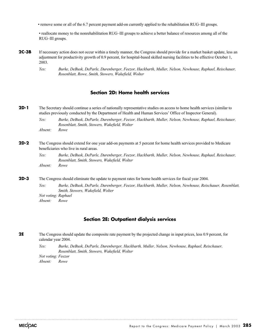• remove some or all of the 6.7 percent payment add-on currently applied to the rehabilitation RUG–III groups.

• reallocate money to the nonrehabilitation RUG–III groups to achieve a better balance of resources among all of the RUG–III groups.

- **2C-3B** If necessary action does not occur within a timely manner, the Congress should provide for a market basket update, less an adjustment for productivity growth of 0.9 percent, for hospital-based skilled nursing facilities to be effective October 1, 2003.
	- *Yes: Burke, DeBusk, DeParle, Durenberger, Feezor, Hackbarth, Muller, Nelson, Newhouse, Raphael, Reischauer, Rosenblatt, Rowe, Smith, Stowers, Wakefield, Wolter*

#### **Section 2D: Home health services**

**2D-1** The Secretary should continue a series of nationally representative studies on access to home health services (similar to studies previously conducted by the Department of Health and Human Services' Office of Inspector General).

*Yes: Burke, DeBusk, DeParle, Durenberger, Feezor, Hackbarth, Muller, Nelson, Newhouse, Raphael, Reischauer, Rosenblatt, Smith, Stowers, Wakefield, Wolter Absent: Rowe*

#### **2D-2** The Congress should extend for one year add-on payments at 5 percent for home health services provided to Medicare beneficiaries who live in rural areas.

*Yes: Burke, DeBusk, DeParle, Durenberger, Feezor, Hackbarth, Muller, Nelson, Newhouse, Raphael, Reischauer, Rosenblatt, Smith, Stowers, Wakefield, Wolter Absent: Rowe*

**2D-3** The Congress should eliminate the update to payment rates for home health services for fiscal year 2004.

*Yes: Burke, DeBusk, DeParle, Durenberger, Feezor, Hackbarth, Muller, Nelson, Newhouse, Reischauer, Rosenblatt, Smith, Stowers, Wakefield, Wolter Not voting: Raphael*

*Absent: Rowe* 

#### **Section 2E: Outpatient dialysis services**

**2E** The Congress should update the composite rate payment by the projected change in input prices, less 0.9 percent, for calendar year 2004.

*Yes: Burke, DeBusk, DeParle, Durenberger, Hackbarth, Muller, Nelson, Newhouse, Raphael, Reischauer, Rosenblatt, Smith, Stowers, Wakefield, Wolter*

*Not voting: Feezor Absent: Rowe*